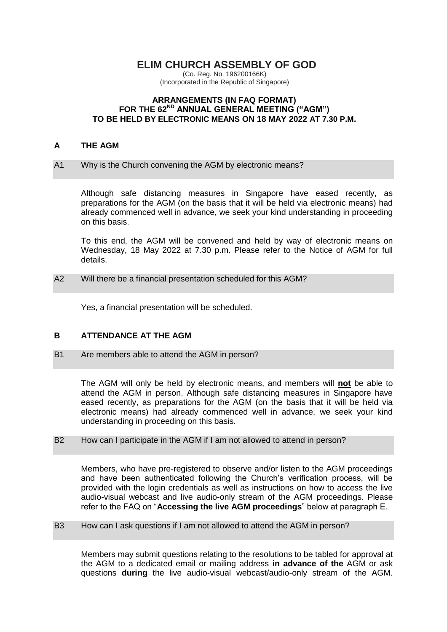# **ELIM CHURCH ASSEMBLY OF GOD**

(Co. Reg. No. 196200166K) (Incorporated in the Republic of Singapore)

### **ARRANGEMENTS (IN FAQ FORMAT) FOR THE 62ND ANNUAL GENERAL MEETING ("AGM") TO BE HELD BY ELECTRONIC MEANS ON 18 MAY 2022 AT 7.30 P.M.**

### **A THE AGM**

### A1 Why is the Church convening the AGM by electronic means?

Although safe distancing measures in Singapore have eased recently, as preparations for the AGM (on the basis that it will be held via electronic means) had already commenced well in advance, we seek your kind understanding in proceeding on this basis.

To this end, the AGM will be convened and held by way of electronic means on Wednesday, 18 May 2022 at 7.30 p.m. Please refer to the Notice of AGM for full details.

A2 Will there be a financial presentation scheduled for this AGM?

Yes, a financial presentation will be scheduled.

# **B ATTENDANCE AT THE AGM**

B1 Are members able to attend the AGM in person?

The AGM will only be held by electronic means, and members will **not** be able to attend the AGM in person. Although safe distancing measures in Singapore have eased recently, as preparations for the AGM (on the basis that it will be held via electronic means) had already commenced well in advance, we seek your kind understanding in proceeding on this basis.

### B2 How can I participate in the AGM if I am not allowed to attend in person?

Members, who have pre-registered to observe and/or listen to the AGM proceedings and have been authenticated following the Church's verification process, will be provided with the login credentials as well as instructions on how to access the live audio-visual webcast and live audio-only stream of the AGM proceedings. Please refer to the FAQ on "**Accessing the live AGM proceedings**" below at paragraph E.

B3 How can I ask questions if I am not allowed to attend the AGM in person?

Members may submit questions relating to the resolutions to be tabled for approval at the AGM to a dedicated email or mailing address **in advance of the** AGM or ask questions **during** the live audio-visual webcast/audio-only stream of the AGM.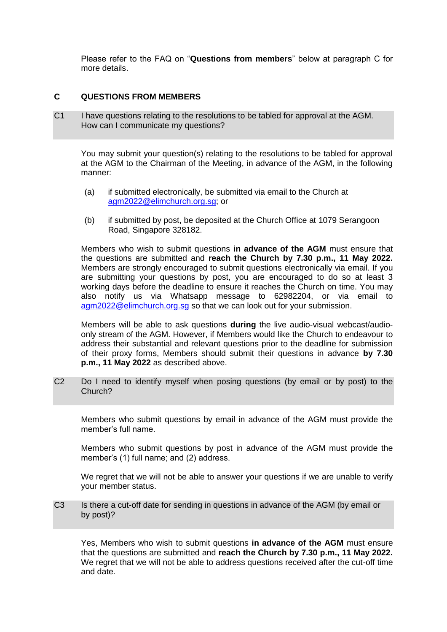Please refer to the FAQ on "**Questions from members**" below at paragraph C for more details.

# **C QUESTIONS FROM MEMBERS**

C1 I have questions relating to the resolutions to be tabled for approval at the AGM. How can I communicate my questions?

You may submit your question(s) relating to the resolutions to be tabled for approval at the AGM to the Chairman of the Meeting, in advance of the AGM, in the following manner:

- (a) if submitted electronically, be submitted via email to the Church at [agm2022@elimchurch.org.sg;](mailto:agm2022@elimchurch.org.sg) or
- (b) if submitted by post, be deposited at the Church Office at 1079 Serangoon Road, Singapore 328182.

Members who wish to submit questions **in advance of the AGM** must ensure that the questions are submitted and **reach the Church by 7.30 p.m., 11 May 2022.** Members are strongly encouraged to submit questions electronically via email. If you are submitting your questions by post, you are encouraged to do so at least 3 working days before the deadline to ensure it reaches the Church on time. You may also notify us via Whatsapp message to 62982204, or via email to [agm2022@elimchurch.org.sg](mailto:agm2022@elimchurch.org.sg) so that we can look out for your submission.

Members will be able to ask questions **during** the live audio-visual webcast/audioonly stream of the AGM. However, if Members would like the Church to endeavour to address their substantial and relevant questions prior to the deadline for submission of their proxy forms, Members should submit their questions in advance **by 7.30 p.m., 11 May 2022** as described above.

C2 Do I need to identify myself when posing questions (by email or by post) to the Church?

Members who submit questions by email in advance of the AGM must provide the member's full name.

Members who submit questions by post in advance of the AGM must provide the member's (1) full name; and (2) address.

We regret that we will not be able to answer your questions if we are unable to verify your member status.

C3 Is there a cut-off date for sending in questions in advance of the AGM (by email or by post)?

Yes, Members who wish to submit questions **in advance of the AGM** must ensure that the questions are submitted and **reach the Church by 7.30 p.m., 11 May 2022.** We regret that we will not be able to address questions received after the cut-off time and date.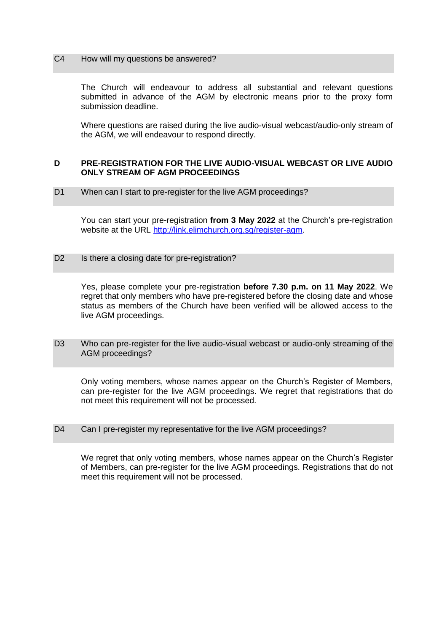#### C4 How will my questions be answered?

The Church will endeavour to address all substantial and relevant questions submitted in advance of the AGM by electronic means prior to the proxy form submission deadline.

Where questions are raised during the live audio-visual webcast/audio-only stream of the AGM, we will endeavour to respond directly.

### **D PRE-REGISTRATION FOR THE LIVE AUDIO-VISUAL WEBCAST OR LIVE AUDIO ONLY STREAM OF AGM PROCEEDINGS**

D1 When can I start to pre-register for the live AGM proceedings?

You can start your pre-registration **from 3 May 2022** at the Church's pre-registration website at the URL [http://link.elimchurch.org.sg/register-agm.](http://link.elimchurch.org.sg/register-agm)

D2 Is there a closing date for pre-registration?

Yes, please complete your pre-registration **before 7.30 p.m. on 11 May 2022**. We regret that only members who have pre-registered before the closing date and whose status as members of the Church have been verified will be allowed access to the live AGM proceedings.

D3 Who can pre-register for the live audio-visual webcast or audio-only streaming of the AGM proceedings?

Only voting members, whose names appear on the Church's Register of Members, can pre-register for the live AGM proceedings. We regret that registrations that do not meet this requirement will not be processed.

D4 Can I pre-register my representative for the live AGM proceedings?

We regret that only voting members, whose names appear on the Church's Register of Members, can pre-register for the live AGM proceedings. Registrations that do not meet this requirement will not be processed.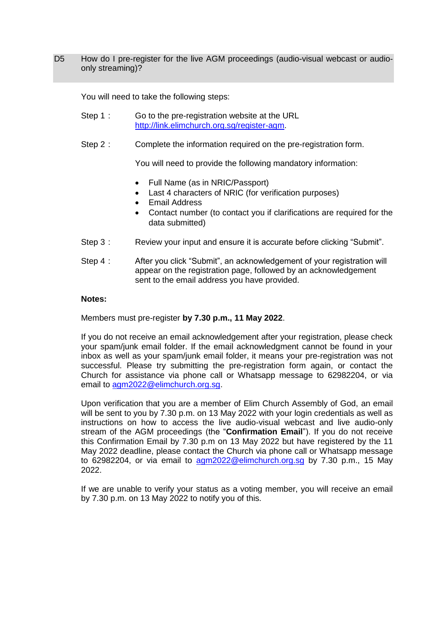D5 How do I pre-register for the live AGM proceedings (audio-visual webcast or audioonly streaming)?

You will need to take the following steps:

- Step 1 : Go to the pre-registration website at the URL [http://link.elimchurch.org.sg/register-agm.](http://link.elimchurch.org.sg/register-agm)
- Step 2 : Complete the information required on the pre-registration form.

You will need to provide the following mandatory information:

- Full Name (as in NRIC/Passport)
- Last 4 characters of NRIC (for verification purposes)
- Email Address
- Contact number (to contact you if clarifications are required for the data submitted)
- Step 3 : Review your input and ensure it is accurate before clicking "Submit".
- Step 4 : After you click "Submit", an acknowledgement of your registration will appear on the registration page, followed by an acknowledgement sent to the email address you have provided.

### **Notes:**

Members must pre-register **by 7.30 p.m., 11 May 2022**.

If you do not receive an email acknowledgement after your registration, please check your spam/junk email folder. If the email acknowledgment cannot be found in your inbox as well as your spam/junk email folder, it means your pre-registration was not successful. Please try submitting the pre-registration form again, or contact the Church for assistance via phone call or Whatsapp message to 62982204, or via email to [agm2022@elimchurch.org.sg.](mailto:agm2022@elimchurch.org.sg)

Upon verification that you are a member of Elim Church Assembly of God, an email will be sent to you by 7.30 p.m. on 13 May 2022 with your login credentials as well as instructions on how to access the live audio-visual webcast and live audio-only stream of the AGM proceedings (the "**Confirmation Email**"). If you do not receive this Confirmation Email by 7.30 p.m on 13 May 2022 but have registered by the 11 May 2022 deadline, please contact the Church via phone call or Whatsapp message to 62982204, or via email to [agm2022@elimchurch.org.sg](mailto:agm2022@elimchurch.org.sg) by 7.30 p.m., 15 May 2022.

If we are unable to verify your status as a voting member, you will receive an email by 7.30 p.m. on 13 May 2022 to notify you of this.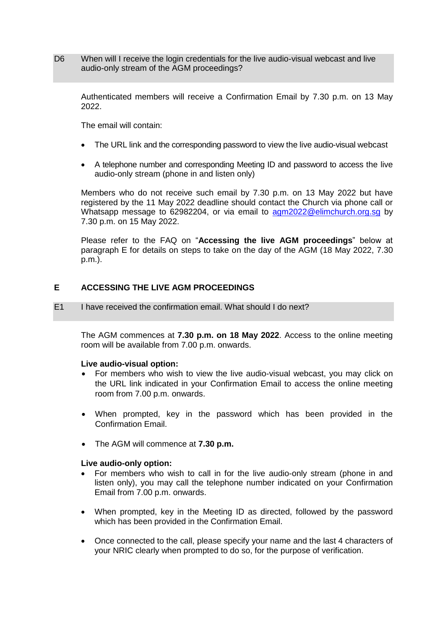D6 When will I receive the login credentials for the live audio-visual webcast and live audio-only stream of the AGM proceedings?

Authenticated members will receive a Confirmation Email by 7.30 p.m. on 13 May 2022.

The email will contain:

- The URL link and the corresponding password to view the live audio-visual webcast
- A telephone number and corresponding Meeting ID and password to access the live audio-only stream (phone in and listen only)

Members who do not receive such email by 7.30 p.m. on 13 May 2022 but have registered by the 11 May 2022 deadline should contact the Church via phone call or Whatsapp message to 62982204, or via email to [agm2022@elimchurch.org.sg](mailto:agm2022@elimchurch.org.sg) by 7.30 p.m. on 15 May 2022.

Please refer to the FAQ on "**Accessing the live AGM proceedings**" below at paragraph E for details on steps to take on the day of the AGM (18 May 2022, 7.30 p.m.).

# **E ACCESSING THE LIVE AGM PROCEEDINGS**

E1 I have received the confirmation email. What should I do next?

The AGM commences at **7.30 p.m. on 18 May 2022**. Access to the online meeting room will be available from 7.00 p.m. onwards.

### **Live audio-visual option:**

- For members who wish to view the live audio-visual webcast, you may click on the URL link indicated in your Confirmation Email to access the online meeting room from 7.00 p.m. onwards.
- When prompted, key in the password which has been provided in the Confirmation Email.
- The AGM will commence at **7.30 p.m.**

### **Live audio-only option:**

- For members who wish to call in for the live audio-only stream (phone in and listen only), you may call the telephone number indicated on your Confirmation Email from 7.00 p.m. onwards.
- When prompted, key in the Meeting ID as directed, followed by the password which has been provided in the Confirmation Email.
- Once connected to the call, please specify your name and the last 4 characters of your NRIC clearly when prompted to do so, for the purpose of verification.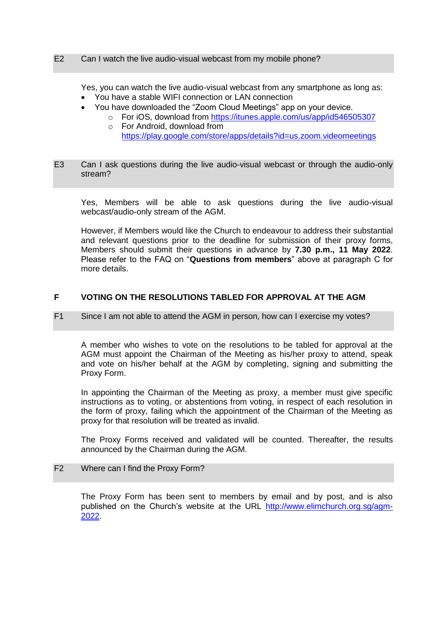#### E2 Can I watch the live audio-visual webcast from my mobile phone?

Yes, you can watch the live audio-visual webcast from any smartphone as long as:

- You have a stable WIFI connection or LAN connection
- You have downloaded the "Zoom Cloud Meetings" app on your device.
	- o For iOS, download from<https://itunes.apple.com/us/app/id546505307> o For Android, download from
		- <https://play.google.com/store/apps/details?id=us.zoom.videomeetings>
- E3 Can I ask questions during the live audio-visual webcast or through the audio-only stream?

Yes, Members will be able to ask questions during the live audio-visual webcast/audio-only stream of the AGM.

However, if Members would like the Church to endeavour to address their substantial and relevant questions prior to the deadline for submission of their proxy forms, Members should submit their questions in advance by **7.30 p.m., 11 May 2022**. Please refer to the FAQ on "**Questions from members**" above at paragraph C for more details.

# **F VOTING ON THE RESOLUTIONS TABLED FOR APPROVAL AT THE AGM**

### F1 Since I am not able to attend the AGM in person, how can I exercise my votes?

A member who wishes to vote on the resolutions to be tabled for approval at the AGM must appoint the Chairman of the Meeting as his/her proxy to attend, speak and vote on his/her behalf at the AGM by completing, signing and submitting the Proxy Form.

In appointing the Chairman of the Meeting as proxy, a member must give specific instructions as to voting, or abstentions from voting, in respect of each resolution in the form of proxy, failing which the appointment of the Chairman of the Meeting as proxy for that resolution will be treated as invalid.

The Proxy Forms received and validated will be counted. Thereafter, the results announced by the Chairman during the AGM.

### F2 Where can I find the Proxy Form?

The Proxy Form has been sent to members by email and by post, and is also published on the Church's website at the URL [http://www.elimchurch.org.sg/agm-](http://www.elimchurch.org.sg/agm-2022)[2022.](http://www.elimchurch.org.sg/agm-2022)